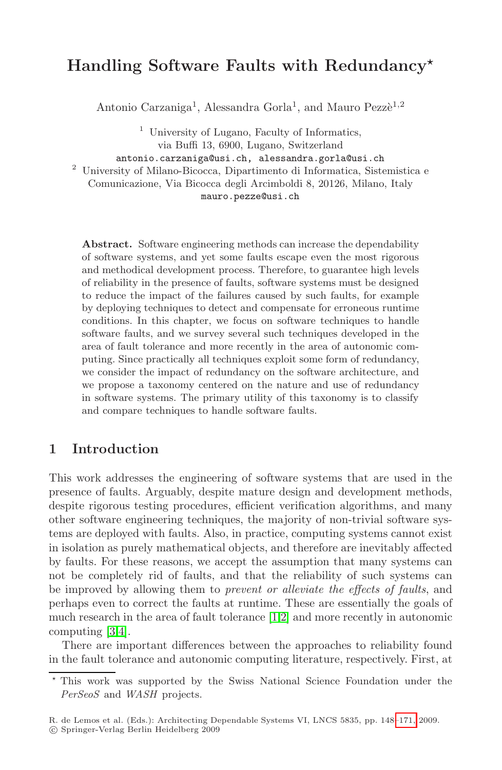# **Handling Software Faults with Redundancy***-*

Antonio Carzaniga<sup>1</sup>, Alessandra Gorla<sup>1</sup>, and Mauro Pezzè<sup>1,2</sup>

<sup>1</sup> University of Lugano, Faculty of Informatics, via Buffi 13, 6900, Lugano, Switzerland antonio.carzaniga@usi.ch, alessandra.gorla@usi.ch  $^{\rm 2}$ University of Milano-Bicocca, Dipartimento di Informatica, Sistemistica e Comunicazione, Via Bicocca degli Arcimboldi 8, 20126, Milano, Italy mauro.pezze@usi.ch

**Abstract.** Software engineering methods can increase the dependability of software systems, and yet some faults escape even the most rigorous and methodical development process. Therefore, to guarantee high levels of reliability in the presence of faults, software systems must be designed to reduce the impact of the failures caused by such faults, for example by deploying techniques to detect and compensate for erroneous runtime conditions. In this chapter, we focus on software techniques to handle software faults, and we survey several such techniques developed in the area of fault tolerance and more recently in the area of autonomic computing. Since practically all techniques exploit some form of redundancy, we consider the impact of redundancy on the software architecture, and we propose a taxonomy centered on the nature and use of redundancy in software systems. The primary utility of this taxonomy is to classify and compare techniques to handle software faults.

### **1 Introduction**

This work addresses the engineering of software systems that are used in the presence of faults. Arguably, despite mature design and development methods, despite rigorous testing [pr](#page-20-0)[oc](#page-20-1)edures, efficient verification algorithms, and many other software engineering techniques, the majority of non-trivial software systems are deployed with faults. Also, in practice, computing systems cannot exist in isolation as purely mathematical objects, and therefore are inevitably affected by faults. For these reasons, we accept the assumption that many systems can not be completely rid of faults, and that the reliability of such systems can be improved by allowing them to *prevent or alleviate the effects of faults*, and perhaps even to correct the faults at runtime. These are essentially the goals of much research in the area of fault tolerance [1,2] a[nd m](#page-23-0)ore recently in autonomic computing [3,4].

There are important differences between the approaches to reliability found in the fault tolerance and autonomic computing literature, respectively. First, at

 $\star$  This work was supported by the Swiss National Science Foundation under the *PerSeoS* and *WASH* projects.

R. de Lemos et al. (Eds.): Architecting Dependable Systems VI, LNCS 5835, pp. 148–171, 2009. -c Springer-Verlag Berlin Heidelberg 2009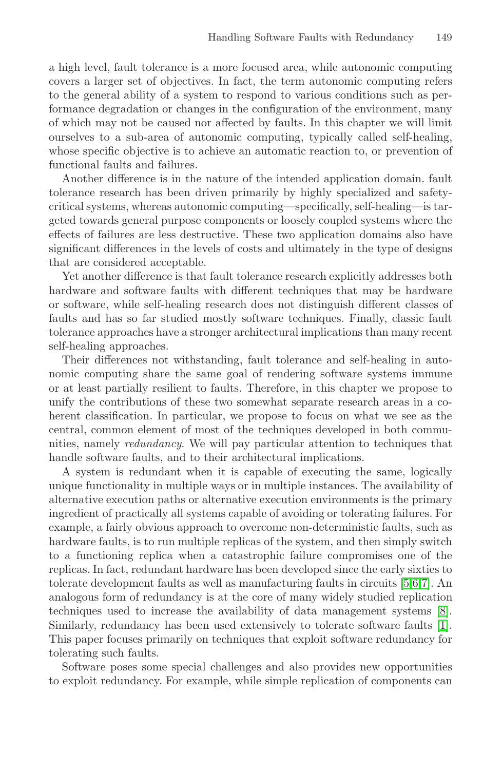a high level, fault tolerance is a more focused area, while autonomic computing covers a larger set of objectives. In fact, the term autonomic computing refers to the general ability of a system to respond to various conditions such as performance degradation or changes in the configuration of the environment, many of which may not be caused nor affected by faults. In this chapter we will limit ourselves to a sub-area of autonomic computing, typically called self-healing, whose specific objective is to achieve an automatic reaction to, or prevention of functional faults and failures.

Another difference is in the nature of the intended application domain. fault tolerance research has been driven primarily by highly specialized and safetycritical systems, whereas autonomic computing—specifically, self-healing—is targeted towards general purpose components or loosely coupled systems where the effects of failures are less destructive. These two application domains also have significant differences in the levels of costs and ultimately in the type of designs that are considered acceptable.

Yet another difference is that fault tolerance research explicitly addresses both hardware and software faults with different techniques that may be hardware or software, while self-healing research does not distinguish different classes of faults and has so far studied mostly software techniques. Finally, classic fault tolerance approaches have a stronger architectural implications than many recent self-healing approaches.

Their differences not withstanding, fault tolerance and self-healing in autonomic computing share the same goal of rendering software systems immune or at least partially resilient to faults. Therefore, in this chapter we propose to unify the contributions of these two somewhat separate research areas in a coherent classification. In particular, we propose to focus on what we see as the central, common element of most of the techniques developed in both communities, namely *redundancy*. We will pay particular attention to techniques that handle software faults, and to their architectural implications.

A system is redundant when it is capable of [ex](#page-20-2)[ec](#page-20-3)[ut](#page-20-4)ing the same, logically unique functionality in multiple ways or in multiple instances. The availability of alternative execution paths or alternative execution enviro[nm](#page-20-5)ents is the primary ingredient of practically all systems capable of avoiding or [to](#page-20-0)lerating failures. For example, a fairly obvious approach to overcome non-deterministic faults, such as hardware faults, is to run multiple replicas of the system, and then simply switch to a functioning replica when a catastrophic failure compromises one of the replicas. In fact, redundant hardware has been developed since the early sixties to tolerate development faults as well as manufacturing faults in circuits [5,6,7]. An analogous form of redundancy is at the core of many widely studied replication techniques used to increase the availability of data management systems [8]. Similarly, redundancy has been used extensively to tolerate software faults [1]. This paper focuses primarily on techniques that exploit software redundancy for tolerating such faults.

Software poses some special challenges and also provides new opportunities to exploit redundancy. For example, while simple replication of components can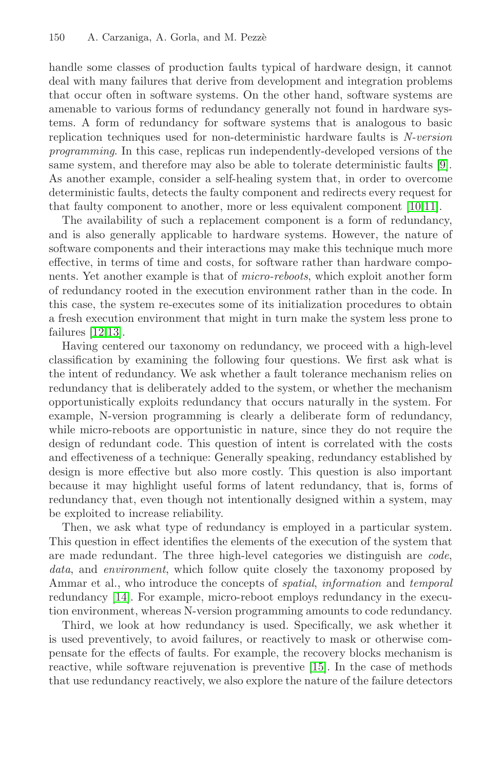handle some classes of production faults typical of hard[wa](#page-20-6)re design, it cannot deal with many failures that derive from development and integration problems that occur often in software systems. On the other [ha](#page-20-7)[nd,](#page-20-8) software systems are amenable to various forms of redundancy generally not found in hardware systems. A form of redundancy for software systems that is analogous to basic replication techniques used for non-deterministic hardware faults is *N-version programming*. In this case, replicas run independently-developed versions of the same system, and therefore may also be able to tolerate deterministic faults [9]. As another example, consider a self-healing system that, in order to overcome deterministic faults, detects the faulty component and redirects every request for that faulty component to another, more or less equivalent component [10,11].

The availability of such a replacement component is a form of redundancy, and is also generally applicable to hardware systems. However, the nature of software components and their interactions may make this technique much more effective, in terms of time and costs, for software rather than hardware components. Yet another example is that of *micro-reboots*, which exploit another form of redundancy rooted in the execution environment rather than in the code. In this case, the system re-executes some of its initialization procedures to obtain a fresh execution environment that might in turn make the system less prone to failures [12,13].

Having centered our taxonomy on redundancy, we proceed with a high-level classification by examining the following four questions. We first ask what is the intent of redundancy. We ask whether a fault tolerance mechanism relies on redundancy that is deliberately added to the system, or whether the mechanism opportunistically exploits redundancy that occurs naturally in the system. For example, N-version programming is clearly a deliberate form of redundancy, while micro-reboots are opportunistic in nature, since they do not require the design of redundant code. This question of intent is correlated with the costs and effectiveness of a technique: Generally speaking, redundancy established by design is more effective but also more costly. This question is also important because it may highlight useful forms of latent redundancy, that is, forms of redundancy that, even though not intentionally designed within a system, may be exploited to increase reliability.

Then, we ask what type of redundancy is employed in a particular system. This question in effect identifies the elements of the execution of the system that are made redundant. The three [hig](#page-20-9)h-level categories we distinguish are *code*, *data*, and *environment*, which follow quite closely the taxonomy proposed by Ammar et al., who introduce the concepts of *spatial*, *information* and *temporal* redundancy [14]. For example, micro-reboot employs redundancy in the execution environment, whereas N-version programming amounts to code redundancy.

Third, we look at how redundancy is used. Specifically, we ask whether it is used preventively, to avoid failures, or reactively to mask or otherwise compensate for the effects of faults. For example, the recovery blocks mechanism is reactive, while software rejuvenation is preventive [15]. In the case of methods that use redundancy reactively, we also explore the nature of the failure detectors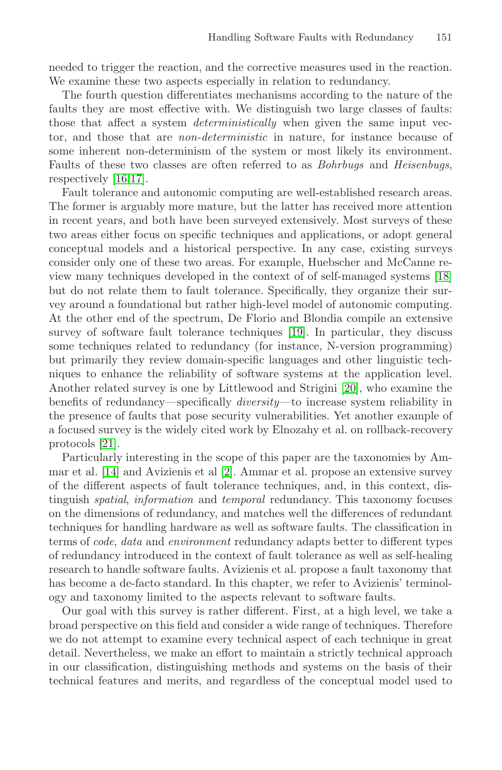needed to trigger the reaction, and the corrective measures used in the reaction. We examine these two aspects especially in relation to redundancy.

The fourth question differentiates mechanisms according to the nature of the faults they are most effective with. We distinguish two large classes of faults: those that affect a system *deterministically* when given the same input vector, and those that are *non-deterministic* in nature, for instance because of some inherent non-determinism of the system or most likely its environment. Faults of these two classes are often referred to as *Boh[rbug](#page-21-0)s* and *Heisenbugs*, respectively [16,17].

Fault tolerance and autonomic computing are well-established research areas. The former is arguably more mature, but the latter has received more attention in recent years, and both ha[ve b](#page-21-1)een surveyed extensively. Most surveys of these two areas either focus on specific techniques and applications, or adopt general conceptual models and a historical perspective. In any case, existing surveys consider only one of these two areas. For example, Huebscher and McCanne review many techniques developed in th[e co](#page-21-2)ntext of of self-managed systems [18] but do not relate them to fault tolerance. Specifically, they organize their survey around a foundational but rather high-level model of autonomic computing. At the other end of the spectrum, De Florio and Blondia compile an extensive survey of software fault tolerance techniques [19]. In particular, they discuss some techniques related to redundancy (for instance, N-version programming) but primarily [the](#page-20-1)y review domain-specific languages and other linguistic techniques to enhance the reliability of software systems at the application level. Another related survey is one by Littlewood and Strigini [20], who examine the benefits of redundancy—specifically *diversity*—to increase system reliability in the presence of faults that pose security vulnerabilities. Yet another example of a focused survey is the widely cited work by Elnozahy et al. on rollback-recovery protocols [21].

Particularly interesting in the scope of this paper are the taxonomies by Ammar et al. [14] and Avizienis et al [2]. Ammar et al. propose an extensive survey of the different aspects of fault tolerance techniques, and, in this context, distinguish *spatial*, *information* and *temporal* redundancy. This taxonomy focuses on the dimensions of redundancy, and matches well the differences of redundant techniques for handling hardware as well as software faults. The classification in terms of *code*, *data* and *environment* redundancy adapts better to different types of redundancy introduced in the context of fault tolerance as well as self-healing research to handle software faults. Avizienis et al. propose a fault taxonomy that has become a de-facto standard. In this chapter, we refer to Avizienis' terminology and taxonomy limited to the aspects relevant to software faults.

Our goal with this survey is rather different. First, at a high level, we take a broad perspective on this field and consider a wide range of techniques. Therefore we do not attempt to examine every technical aspect of each technique in great detail. Nevertheless, we make an effort to maintain a strictly technical approach in our classification, distinguishing methods and systems on the basis of their technical features and merits, and regardless of the conceptual model used to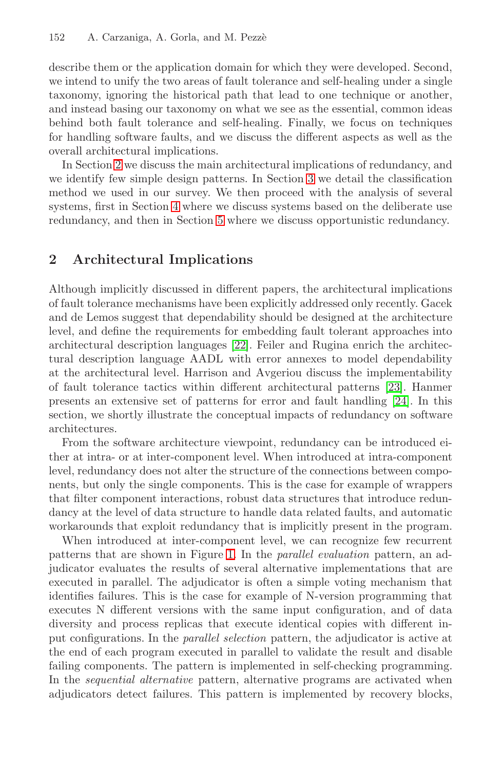describe them or the applicatio[n d](#page-5-0)omain for which they were developed. Second, we intend to unify the two areas of fault tolerance and self-healing under a single taxo[no](#page-9-0)my, ignoring the historical path that lead to one technique or another, and instead b[asi](#page-16-0)ng our taxonomy on what we see as the essential, common ideas behind both fault tolerance and self-healing. Finally, we focus on techniques for handling software faults, and we discuss the different aspects as well as the overall architectural implications.

In Section 2 we discuss the main architectural implications of redundancy, and we identify few simple design patterns. In Section 3 we detail the classification method we used in our survey. We then proceed with the analysis of several systems, first in Section 4 where we discuss systems based on the deliberate use redundancy, and then in Section 5 where we discuss opportunistic redundancy.

### **2 Architectural Implications**

Although implicitly discussed in different paper[s](#page-21-3)[, th](#page-21-4)e architectural implications of fault tolerance mechanisms have been explicitly addressed only recently. Gacek and de Lemos suggest that dependability should be designed at the architecture level, and define the requirements for embedding fault tolerant approaches into architectural description languages [22]. Feiler and Rugina enrich the architectural description language AADL with error annexes to model dependability at the architectural level. Harrison and Avgeriou discuss the implementability of fault tolerance tactics within different architectural patterns [23]. Hanmer presents an extensive set of patterns for error and fault handling [24]. In this section, we shortly illustrate the conceptual impacts of redundancy on software architectures.

From the sof[tw](#page-6-0)are architecture viewpoint, redundancy can be introduced either at intra- or at inter-component level. When introduced at intra-component level, redundancy does not alter the structure of the connections between components, but only the single components. This is the case for example of wrappers that filter component interactions, robust data structures that introduce redundancy at the level of data structure to handle data related faults, and automatic workarounds that exploit redundancy that is implicitly present in the program.

When introduced at inter-component level, we can recognize few recurrent patterns that are shown in Figure 1. In the *parallel evaluation* pattern, an adjudicator evaluates the results of several alternative implementations that are executed in parallel. The adjudicator is often a simple voting mechanism that identifies failures. This is the case for example of N-version programming that executes N different versions with the same input configuration, and of data diversity and process replicas that execute identical copies with different input configurations. In the *parallel selection* pattern, the adjudicator is active at the end of each program executed in parallel to validate the result and disable failing components. The pattern is implemented in self-checking programming. In the *sequential alternative* pattern, alternative programs are activated when adjudicators detect failures. This pattern is implemented by recovery blocks,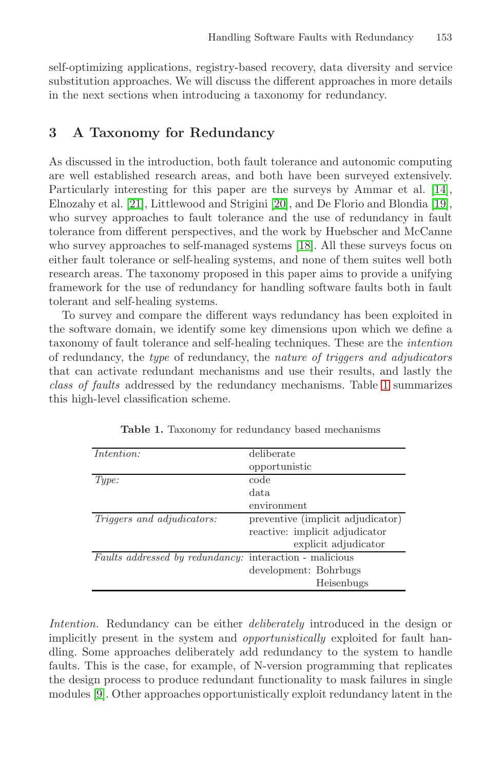<span id="page-5-0"></span>self-optimizing applications, registry-based recovery, data diversity and service substitution approaches. We will discuss the different ap[proa](#page-20-10)ches in more details in the next sections whe[n in](#page-21-2)troducing a taxonomy for re[dun](#page-21-1)dancy.

# **3 A Taxonomy for [Red](#page-21-0)undancy**

As discussed in the introduction, both fault tolerance and autonomic computing are well established research areas, and both have been surveyed extensively. Particularly interesting for this paper are the surveys by Ammar et al. [14], Elnozahy et al. [21], Littlewood and Strigini [20], and De Florio and Blondia [19], who survey approaches to fault tolerance and the use of redundancy in fault tolerance from different perspectives, and the work by Huebscher and McCanne who survey approaches to self-managed systems [18]. All these surveys focus on either fault tolerance or self-healing systems, and none of them suites well both research areas. The taxonomy proposed in this [p](#page-5-1)aper aims to provide a unifying framework for the use of redundancy for handling software faults both in fault tolerant and self-healing systems.

<span id="page-5-1"></span>To survey and compare the different ways redundancy has been exploited in the software domain, we identify some key dimensions upon which we define a taxonomy of fault tolerance and self-healing techniques. These are the *intention* of redundancy, the *type* of redundancy, the *nature of triggers and adjudicators* that can activate redundant mechanisms and use their results, and lastly the *class of faults* addressed by the redundancy mechanisms. Table 1 summarizes this high-level classification scheme.

| Intention:                                              | deliberate                        |  |  |
|---------------------------------------------------------|-----------------------------------|--|--|
|                                                         | opportunistic                     |  |  |
| Type:                                                   | code                              |  |  |
|                                                         | data                              |  |  |
|                                                         | environment                       |  |  |
| <i>Triggers and adjudicators:</i>                       | preventive (implicit adjudicator) |  |  |
|                                                         | reactive: implicit adjudicator    |  |  |
|                                                         | explicit adjudicator              |  |  |
| Faults addressed by redundancy: interaction - malicious |                                   |  |  |
|                                                         | development: Bohrbugs             |  |  |
|                                                         | Heisenbugs                        |  |  |

**Table 1.** Taxonomy for redundancy based mechanisms

*Intention.* Redundancy can be either *deliberately* introduced in the design or implicitly present in the system and *opportunistically* exploited for fault handling. Some approaches deliberately add redundancy to the system to handle faults. This is the case, for example, of N-version programming that replicates the design process to produce redundant functionality to mask failures in single modules [9]. Other approaches opportunistically exploit redundancy latent in the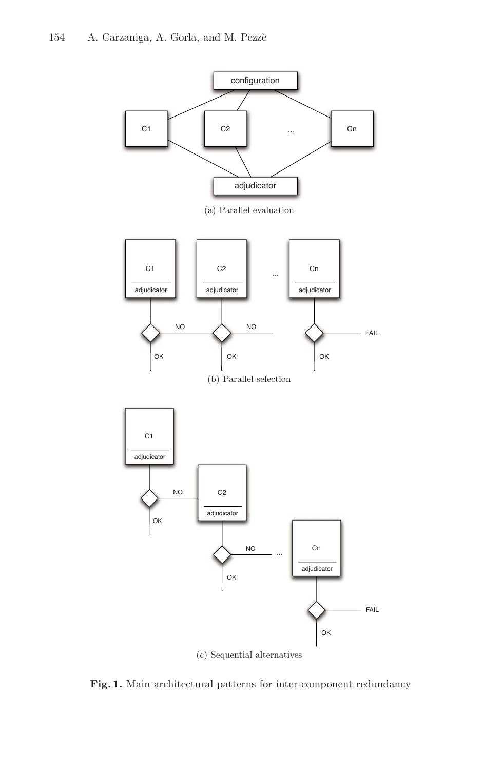

<span id="page-6-0"></span>**Fig. 1.** Main architectural patterns for inter-component redundancy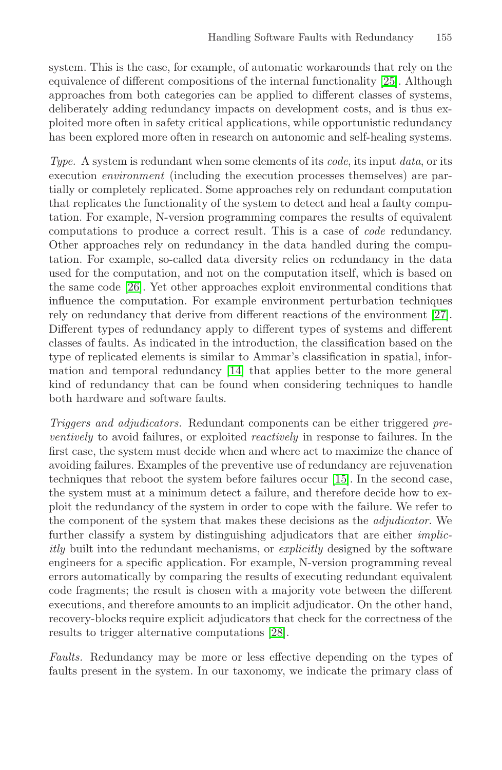system. This is the case, for example, of automatic workarounds that rely on the equivalence of different compositions of the internal functionality [25]. Although approaches from both categories can be applied to different classes of systems, deliberately adding redundancy impacts on development costs, and is thus exploited more often in safety critical applications, while opportunistic redundancy has been explored more often in research on autonomic and self-healing systems.

*Type.* A system is redundant when some elements of its *code*, its input *data*, or its execution *environment* (including the execution processes themselves) are partially or completely replicated. Some approaches rely on redundant computation that replicates the functionality of the system to detect a[nd h](#page-21-5)eal a faulty computation. For example, N-version programming compares the results of equivalent computations to produce a correct result. This is a case of *code* redundancy. Other approaches rely on redundancy in the data handled during the computation. For exa[mple](#page-20-10), so-called data diversity relies on redundancy in the data used for the computation, and not on the computation itself, which is based on the same code [26]. Yet other approaches exploit environmental conditions that influence the computation. For example environment perturbation techniques rely on redundancy that derive from different reactions of the environment [27]. Different types of redundancy apply to different types of systems and different classes of faults. As indicated in the introduction, the classification based on the type of replicated elements is similar to Ammar's classification in spatial, information and temporal redundancy [1[4\] t](#page-20-9)hat applies better to the more general kind of redundancy that can be found when considering techniques to handle both hardware and software faults.

*Triggers and adjudicators.* Redundant components can be either triggered *preventively* to avoid failures, or exploited *reactively* in response to failures. In the first case, the system must decide when and where act to maximize the chance of avoiding failures. Examples of the preventive use of redundancy are rejuvenation techniques that reboot the system before failures occur [15]. In the second case, the system must at a minimum detect a failure, and therefore decide how to exploit the redundancy of the system in order to cope with the failure. We refer to the component of the sy[stem](#page-21-6) that makes these decisions as the *adjudicator*. We further classify a system by distinguishing adjudicators that are either *implicitly* built into the redundant mechanisms, or *explicitly* designed by the software engineers for a specific application. For example, N-version programming reveal errors automatically by comparing the results of executing redundant equivalent code fragments; the result is chosen with a majority vote between the different executions, and therefore amounts to an implicit adjudicator. On the other hand, recovery-blocks require explicit adjudicators that check for the correctness of the results to trigger alternative computations [28].

*Faults.* Redundancy may be more or less effective depending on the types of faults present in the system. In our taxonomy, we indicate the primary class of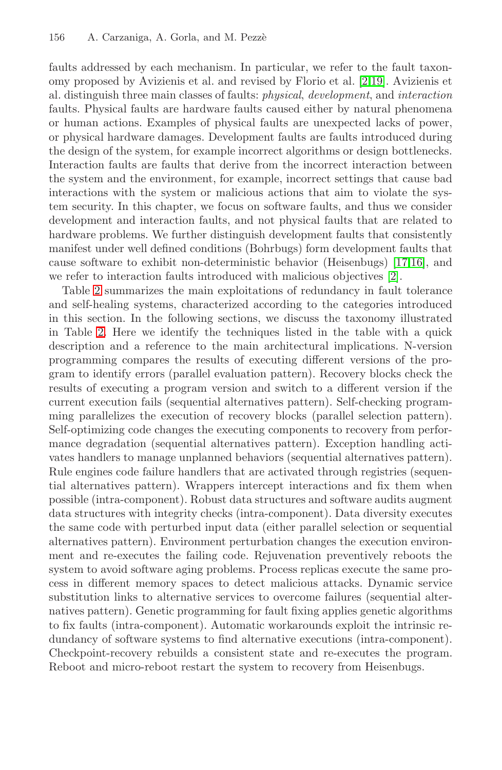faults addressed by each mechanism. In particular, we refer to the fault taxonomy proposed by Avizienis et al. and revised by Florio et al. [2,19]. Avizienis et al. distinguish three main classes of faults: *physical*, *development*, and *interaction* faults. Physical faults are hardware faults caused either by natural phenomena or human actions. Examples of physical faults are unexpected lacks of power, or physical hardware damages. Development faults are faults introduced during the design of the system, for example incorrect al[gor](#page-20-11)[ithm](#page-20-12)s or design bottlenecks. Interaction faults are faults that derive from t[he](#page-20-1) incorrect interaction between the system and the environment, for example, incorrect settings that cause bad interactions with the system or malicious actions that aim to violate the system security. In this chapter, we focus on software faults, and thus we consider development and interaction faults, and not physical faults that are related to hardware problems. We further distinguish development faults that consistently manifest under well defined conditions (Bohrbugs) form development faults that cause software to exhibit non-deterministic behavior (Heisenbugs) [17,16], and we refer to interaction faults introduced with malicious objectives [2].

Table 2 summarizes the main exploitations of redundancy in fault tolerance and self-healing systems, characterized according to the categories introduced in this section. In the following sections, we discuss the taxonomy illustrated in Table 2. Here we identify the techniques listed in the table with a quick description and a reference to the main architectural implications. N-version programming compares the results of executing different versions of the program to identify errors (parallel evaluation pattern). Recovery blocks check the results of executing a program version and switch to a different version if the current execution fails (sequential alternatives pattern). Self-checking programming parallelizes the execution of recovery blocks (parallel selection pattern). Self-optimizing code changes the executing components to recovery from performance degradation (sequential alternatives pattern). Exception handling activates handlers to manage unplanned behaviors (sequential alternatives pattern). Rule engines code failure handlers that are activated through registries (sequential alternatives pattern). Wrappers intercept interactions and fix them when possible (intra-component). Robust data structures and software audits augment data structures with integrity checks (intra-component). Data diversity executes the same code with perturbed input data (either parallel selection or sequential alternatives pattern). Environment perturbation changes the execution environment and re-executes the failing code. Rejuvenation preventively reboots the system to avoid software aging problems. Process replicas execute the same process in different memory spaces to detect malicious attacks. Dynamic service substitution links to alternative services to overcome failures (sequential alternatives pattern). Genetic programming for fault fixing applies genetic algorithms to fix faults (intra-component). Automatic workarounds exploit the intrinsic redundancy of software systems to find alternative executions (intra-component). Checkpoint-recovery rebuilds a consistent state and re-executes the program. Reboot and micro-reboot restart the system to recovery from Heisenbugs.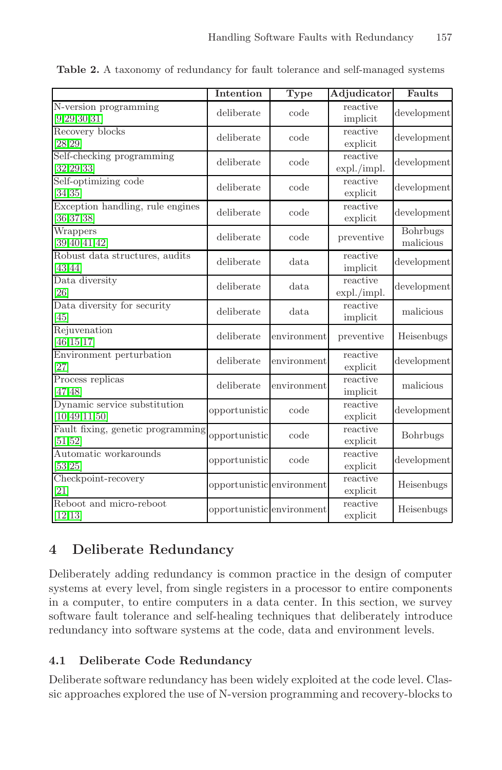|                                                  | Intention                 | Type        | Adjudicator                | Faults                |
|--------------------------------------------------|---------------------------|-------------|----------------------------|-----------------------|
| N-version programming<br>[9,29,30,31]            | deliberate                | code        | reactive<br>implicit       | development           |
| Recovery blocks<br>[28, 29]                      | deliberate                | code        | reactive<br>explicit       | development           |
| Self-checking programming<br>[32, 29, 33]        | deliberate                | code        | reactive<br>expl./impl.    | development           |
| Self-optimizing code<br>[34, 35]                 | deliberate                | code        | reactive<br>explicit       | development           |
| Exception handling, rule engines<br>[36,37,38]   | deliberate                | code        | reactive<br>explicit       | development           |
| Wrappers<br>[39, 40, 41, 42]                     | deliberate                | code        | preventive                 | Bohrbugs<br>malicious |
| Robust data structures, audits<br>[43, 44]       | deliberate                | data        | reactive<br>implicit       | development           |
| Data diversity<br>$[26]$                         | deliberate                | data        | reactive<br>$\exp$ ./impl. | development           |
| Data diversity for security<br>[45]              | deliberate                | data        | reactive<br>implicit       | malicious             |
| Rejuvenation<br>[46, 15, 17]                     | deliberate                | environment | preventive                 | Heisenbugs            |
| Environment perturbation<br>$[27]$               | deliberate                | environment | reactive<br>explicit       | development           |
| Process replicas<br>[47, 48]                     | deliberate                | environment | reactive<br>implicit       | malicious             |
| Dynamic service substitution<br>[10, 49, 11, 50] | opportunistic             | code        | reactive<br>explicit       | development           |
| Fault fixing, genetic programming<br>[51, 52]    | opportunistic             | code        | reactive<br>explicit       | Bohrbugs              |
| Automatic workarounds<br>[53, 25]                | opportunistic             | code        | reactive<br>explicit       | development           |
| Checkpoint-recovery<br>[21]                      | opportunistic environment |             | reactive<br>explicit       | Heisenbugs            |
| Reboot and micro-reboot<br>[12, 13]              | opportunistic environment |             | reactive<br>explicit       | Heisenbugs            |

**Table 2.** A taxonomy of redundancy for fault tolerance and self-managed systems

# <span id="page-9-0"></span>**4 Deliberate Redundancy**

Deliberately adding redundancy is common practice in the design of computer systems at every level, from single registers in a processor to entire components in a computer, to entire computers in a data center. In this section, we survey software fault tolerance and self-healing techniques that deliberately introduce redundancy into software systems at the code, data and environment levels.

### **4.1 Deliberate Code Redundancy**

Deliberate software redundancy has been widely exploited at the code level. Classic approaches explored the use of N-version programming and recovery-blocks to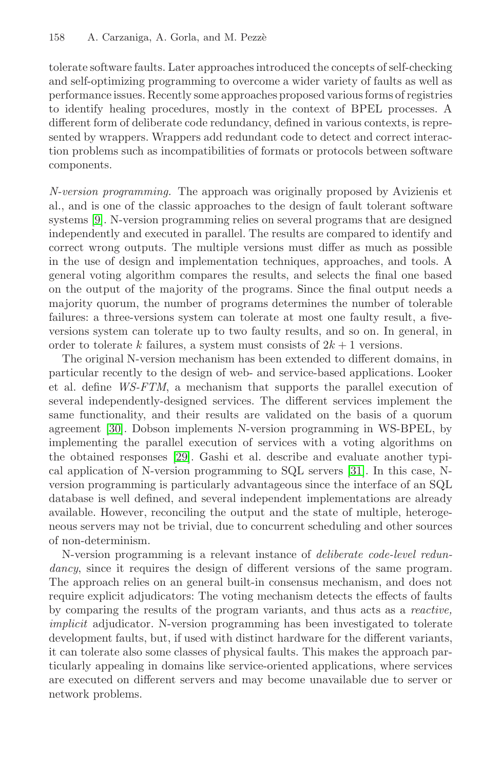tolerate software faults. Later approaches introduced the concepts of self-checking and self-optimizing programming to overcome a wider variety of faults as well as performance issues. Recently some approaches proposed various forms of registries to identify healing procedures, mostly in the context of BPEL processes. A different form of deliberate code redundancy, defined in various contexts, is represented by wrappers. Wrappers add redundant code to detect and correct interaction problems such as incompatibilities of formats or protocols between software components.

*N-version programming.* The approach was originally proposed by Avizienis et al., and is one of the classic approaches to the design of fault tolerant software systems [9]. N-version programming relies on several programs that are designed independently and executed in parallel. The results are compared to identify and correct wrong outputs. The multiple versions must differ as much as possible in the use of design and implementation techniques, approaches, and tools. A general voting algorithm compares the results, and selects the final one based on the output of the majority of the programs. Since the final output needs a majority quorum, the number of programs determines the number of tolerable failures: a three-versions system can tolerate at most one faulty result, a fiveversions system can tolerate up to two faulty results, and so on. In general, in order [to](#page-21-7) tolerate  $k$  failures, a system must consists of  $2k + 1$  versions.

The original N-version mechanism ha[s be](#page-21-8)en extended to different domains, in particular recently to the design of web- and service-based applications. Looker et al. define *WS-FTM*, a mechanism that supports the parallel execution of several independently-designed services. The different services implement the same functionality, and their results are validated on the basis of a quorum agreement [30]. Dobson implements N-version programming in WS-BPEL, by implementing the parallel execution of services with a voting algorithms on the obtained responses [29]. Gashi et al. describe and evaluate another typical application of N-version programming to SQL servers [31]. In this case, Nversion programming is particularly advantageous since the interface of an SQL database is well defined, and several independent implementations are already available. However, reconciling the output and the state of multiple, heterogeneous servers may not be trivial, due to concurrent scheduling and other sources of non-determinism.

N-version programming is a relevant instance of *deliberate code-level redundancy*, since it requires the design of different versions of the same program. The approach relies on an general built-in consensus mechanism, and does not require explicit adjudicators: The voting mechanism detects the effects of faults by comparing the results of the program variants, and thus acts as a *reactive, implicit* adjudicator. N-version programming has been investigated to tolerate development faults, but, if used with distinct hardware for the different variants, it can tolerate also some classes of physical faults. This makes the approach particularly appealing in domains like service-oriented applications, where services are executed on different servers and may become unavailable due to server or network problems.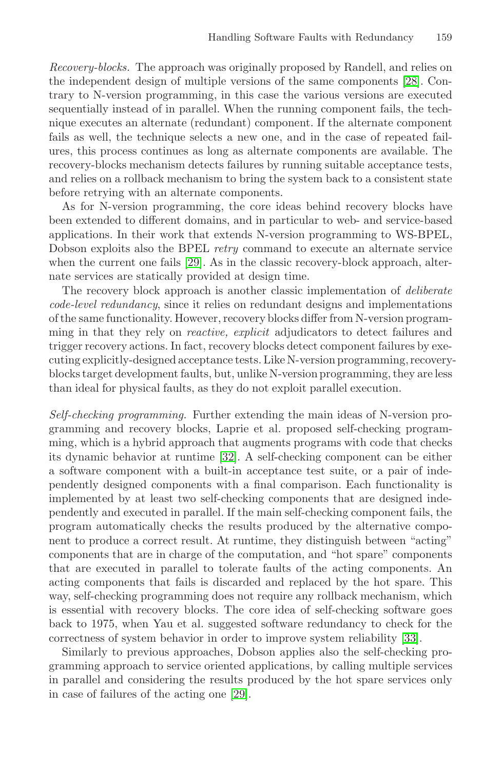*Recovery-blocks.* The approach was originally proposed by Randell, and relies on the independent design of multiple versions of the same components [28]. Contrary to N-version programming, in this case the various versions are executed sequentially instead of in parallel. When the running component fails, the technique executes an alternate (redundant) component. If the alternate component fails as well, the technique selects a new one, and in the case of repeated failures, th[is p](#page-21-7)rocess continues as long as alternate components are available. The recovery-blocks mechanism detects failures by running suitable acceptance tests, and relies on a rollback mechanism to bring the system back to a consistent state before retrying with an alternate components.

As for N-version programming, the core ideas behind recovery blocks have been extended to different domains, and in particular to web- and service-based applications. In their work that extends N-version programming to WS-BPEL, Dobson exploits also the BPEL *retry* command to execute an alternate service when the current one fails [29]. As in the classic recovery-block approach, alternate services are statically provided at design time.

The recovery block approach is another classic implementation of *deliberate code-level redundancy*, since it relies on redundant designs and implementations of the same functionality. However, recovery blocks differ from N-version programming in that they rely on *reactive, explicit* adjudicators to detect failures and trigger recover[y ac](#page-21-9)tions. In fact, recovery blocks detect component failures by executing explicitly-designed acceptance tests. Like N-version programming, recoveryblocks target development faults, but, unlike N-version programming, they are less than ideal for physical faults, as they do not exploit parallel execution.

*Self-checking programming.* Further extending the main ideas of N-version programming and recovery blocks, Laprie et al. proposed self-checking programming, which is a hybrid approach that augments programs with code that checks its dynamic behavior at runtime [32]. A self-checking component can be either a software component with a built-in acceptance test suite, or a pair of independently designed components with a final comparison. Each functionality is implemented by at least two self-checking components that are designed independently and executed in parallel. If the main self-checking component fails, the program automatically checks the results produce[d b](#page-21-10)y the alternative component to produce a correct result. At runtime, they distinguish between "acting" components that are in charge of the computation, and "hot spare" components that are executed in parallel to tolerate faults of the acting components. An acting compone[nts t](#page-21-7)hat fails is discarded and replaced by the hot spare. This way, self-checking programming does not require any rollback mechanism, which is essential with recovery blocks. The core idea of self-checking software goes back to 1975, when Yau et al. suggested software redundancy to check for the correctness of system behavior in order to improve system reliability [33].

Similarly to previous approaches, Dobson applies also the self-checking programming approach to service oriented applications, by calling multiple services in parallel and considering the results produced by the hot spare services only in case of failures of the acting one [29].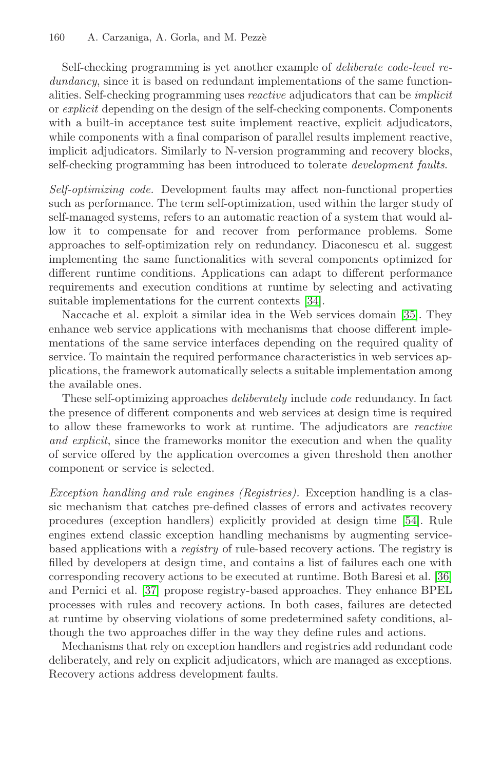Self-checking programming is yet another example of *deliberate code-level redundancy*, since it is based on redundant implementations of the same functionalities. Self-checking programming uses *reactive* adjudicators that can be *implicit* or *explicit* depending on the design of the self-checking components. Components with a built-in acceptance test suite implement reactive, explicit adjudicators, while components with a final comparison of parallel results implement reactive, implicit adjudicators. Similarly to N-version programming and recovery blocks, self-checking programming has been introduced to tolerate *development faults*.

*Self-optimizing code.* Develop[ment](#page-21-11) faults may affect non-functional properties such as performance. The term self-optimization, u[sed](#page-22-0) within the larger study of self-managed systems, refers to an automatic reaction of a system that would allow it to compensate for and recover from performance problems. Some approaches to self-optimization rely on redundancy. Diaconescu et al. suggest implementing the same functionalities with several components optimized for different runtime conditions. Applications can adapt to different performance requirements and execution conditions at runtime by selecting and activating suitable implementations for the current contexts [34].

Naccache et al. exploit a similar idea in the Web services domain [35]. They enhance web service applications with mechanisms that choose different implementations of the same service interfaces depending on the required quality of service. To maintain the required performance characteristics in web services applications, the framework automatically selects a suitable implementation among the available ones.

These self-optimizing approaches *deliberately* include *code* redundancy. In fact the presence of different components and web servi[ces](#page-23-1) at design time is required to allow these frameworks to work at runtime. The adjudicators are *reactive and explicit*, since the frameworks monitor the execution and when the quality of service offered by the application overcomes a given threshold then another component or service is selected.

*Exception handling and rule engines (Registries).* Exception handling is a classic mechanism that catches pre-defined classes of errors and activates recovery procedures (exception handlers) explicitly provided at design time [54]. Rule engines extend classic exception handling mechanisms by augmenting servicebased applications with a *registry* of rule-based recovery actions. The registry is filled by developers at design time, and contains a list of failures each one with corresponding recovery actions to be executed at runtime. Both Baresi et al. [36] and Pernici et al. [37] propose registry-based approaches. They enhance BPEL processes with rules and recovery actions. In both cases, failures are detected at runtime by observing violations of some predetermined safety conditions, although the two approaches differ in the way they define rules and actions.

Mechanisms that rely on exception handlers and registries add redundant code deliberately, and rely on explicit adjudicators, which are managed as exceptions. Recovery actions address development faults.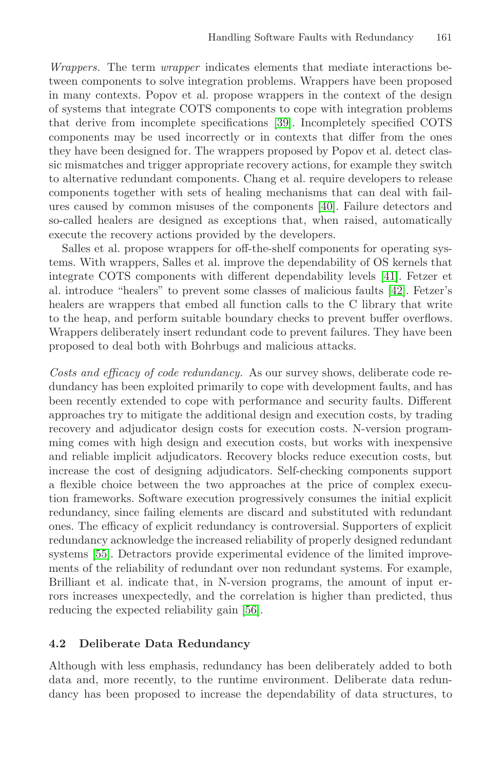*Wrappers.* The term *wrapper* indicates elements that mediate interactions between components to solve integration problems. Wrappers have been proposed in many contexts. Popov et al. p[ropo](#page-22-1)se wrappers in the context of the design of systems that integrate COTS components to cope with integration problems that derive from incomplete specifications [39]. Incompletely specified COTS components may be used incorrectly or in contexts that differ from the ones they have been designed for. The wrappers proposed by Popov et al. detect classic mismatches and trigger appropriate recover[y ac](#page-22-2)tions, for example they switch to alternative redundant components. Chang et [al.](#page-22-3) require developers to release components together with sets of healing mechanisms that can deal with failures caused by common misuses of the components [40]. Failure detectors and so-called healers are designed as exceptions that, when raised, automatically execute the recovery actions provided by the developers.

Salles et al. propose wrappers for off-the-shelf components for operating systems. With wrappers, Salles et al. improve the dependability of OS kernels that integrate COTS components with different dependability levels [41]. Fetzer et al. introduce "healers" to prevent some classes of malicious faults [42]. Fetzer's healers are wrappers that embed all function calls to the C library that write to the heap, and perform suitable boundary checks to prevent buffer overflows. Wrappers deliberately insert redundant code to prevent failures. They have been proposed to deal both with Bohrbugs and malicious attacks.

*Costs and efficacy of code redundancy.* As our survey shows, deliberate code redundancy has been exploited primarily to cope with development faults, and has been recently extended to cope with performance and security faults. Different approaches try to mitigate the additional design and execution costs, by trading recovery and adjudicator design costs for execution costs. N-version programming comes with high design and execution costs, but works with inexpensive and reliable implicit adjudicators. Recovery blocks reduce execution costs, but increase the cost of designing adjudicators. Self-checking components support a flexible choice between the two approaches at the price of complex execution frameworks. S[oftw](#page-23-2)are execution progressively consumes the initial explicit redundancy, since failing elements are discard and substituted with redundant ones. The efficacy of explicit redundancy is controversial. Supporters of explicit redundancy acknowledge the increased reliability of properly designed redundant systems [55]. Detractors provide experimental evidence of the limited improvements of the reliability of redundant over non redundant systems. For example, Brilliant et al. indicate that, in N-version programs, the amount of input errors increases unexpectedly, and the correlation is higher than predicted, thus reducing the expected reliability gain [56].

### **4.2 Deliberate Data Redundancy**

Although with less emphasis, redundancy has been deliberately added to both data and, more recently, to the runtime environment. Deliberate data redundancy has been proposed to increase the dependability of data structures, to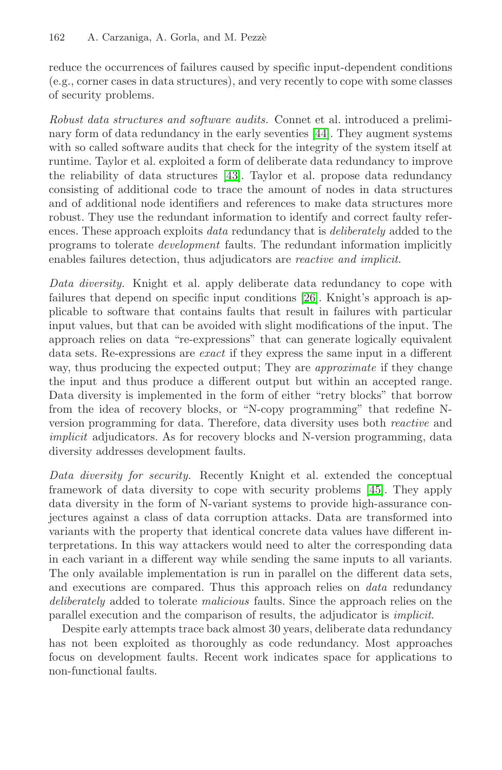reduce the occu[rren](#page-22-4)ces of failures caused by specific input-dependent conditions (e.g., corner cases in data structures), and very recently to cope with some classes of security problems.

*Robust data structures and software audits.* Connet et al. introduced a preliminary form of data redundancy in the early seventies [44]. They augment systems with so called software audits that check for the integrity of the system itself at runtime. Taylor et al. exploited a form of deliberate data redundancy to improve the reliability of data structures [43]. Taylor et al. propose data redundancy consisting of additional code [to t](#page-21-12)race the amount of nodes in data structures and of additional node identifiers and references to make data structures more robust. They use the redundant information to identify and correct faulty references. These approach exploits *data* redundancy that is *deliberately* added to the programs to tolerate *development* faults. The redundant information implicitly enables failures detection, thus adjudicators are *reactive and implicit*.

*Data diversity.* Knight et al. apply deliberate data redundancy to cope with failures that depend on specific input conditions [26]. Knight's approach is applicable to software that contains faults that result in failures with particular input values, but that can be avoided with slight modifications of the input. The approach relies on data "re-expressions" that can generate logically equivalent data sets. Re-expressions are *exact* if they express the same input in a different way, thus producing the expected output; They are *approximate* if they change the input and thus produce a different ou[tput](#page-22-5) but within an accepted range. Data diversity is implemented in the form of either "retry blocks" that borrow from the idea of recovery blocks, or "N-copy programming" that redefine Nversion programming for data. Therefore, data diversity uses both *reactive* and *implicit* adjudicators. As for recovery blocks and N-version programming, data diversity addresses development faults.

*Data diversity for security.* Recently Knight et al. extended the conceptual framework of data diversity to cope with security problems [45]. They apply data diversity in the form of N-variant systems to provide high-assurance conjectures against a class of data corruption attacks. Data are transformed into variants with the property that identical concrete data values have different interpretations. In this way attackers would need to alter the corresponding data in each variant in a different way while sending the same inputs to all variants. The only available implementation is run in parallel on the different data sets, and executions are compared. Thus this approach relies on *data* redundancy *deliberately* added to tolerate *malicious* faults. Since the approach relies on the parallel execution and the comparison of results, the adjudicator is *implicit*.

Despite early attempts trace back almost 30 years, deliberate data redundancy has not been exploited as thoroughly as code redundancy. Most approaches focus on development faults. Recent work indicates space for applications to non-functional faults.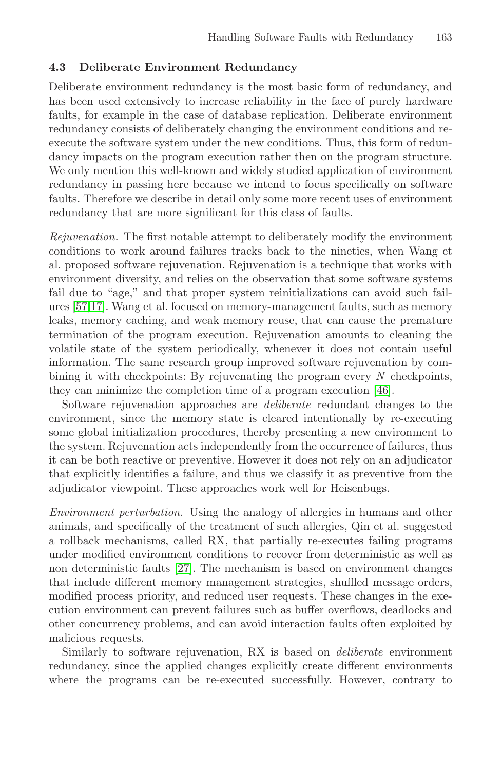#### **4.3 Deliberate Environment Redundancy**

Deliberate environment redundancy is the most basic form of redundancy, and has been used extensively to increase reliability in the face of purely hardware faults, for example in the case of database replication. Deliberate environment redundancy consists of deliberately changing the environment conditions and reexecute the software system under the new conditions. Thus, this form of redundancy impacts on the program execution rather then on the program structure. We only mention this well-known and widely studied application of environment redundancy in passing here because we intend to focus specifically on software faults. Therefore we describe in detail only some more recent uses of environment redundancy that are more significant for this class of faults.

*Rejuvenation.* The first notable attempt to deliberately modify the environment conditions to work around failures tracks back to the nineties, when Wang et al. proposed software rejuvenation. Rejuvenation is a technique that works with environment diversity, and relies on the obser[vat](#page-22-6)ion that some software systems fail due to "age," and that proper system reinitializations can avoid such failures [57,17]. Wang et al. focused on memory-management faults, such as memory leaks, memory caching, and weak memory reuse, that can cause the premature termination of the program execution. Rejuvenation amounts to cleaning the volatile state of the system periodically, whenever it does not contain useful information. The same research group improved software rejuvenation by combining it with checkpoints: By rejuvenating the program every *N* checkpoints, they can minimize the completion time of a program execution [46].

Software rejuvenation approaches are *deliberate* redundant changes to the environment, since the memory state is cleared intentionally by re-executing some global initialization procedures, thereby presenting a new environment to the system. Rejuvenation acts independently from the occurrence of failures, thus it can [be](#page-21-5) both reactive or preventive. However it does not rely on an adjudicator that explicitly identifies a failure, and thus we classify it as preventive from the adjudicator viewpoint. These approaches work well for Heisenbugs.

*Environment perturbation.* Using the analogy of allergies in humans and other animals, and specifically of the treatment of such allergies, Qin et al. suggested a rollback mechanisms, called RX, that partially re-executes failing programs under modified environment conditions to recover from deterministic as well as non deterministic faults [27]. The mechanism is based on environment changes that include different memory management strategies, shuffled message orders, modified process priority, and reduced user requests. These changes in the execution environment can prevent failures such as buffer overflows, deadlocks and other concurrency problems, and can avoid interaction faults often exploited by malicious requests.

Similarly to software rejuvenation, RX is based on *deliberate* environment redundancy, since the applied changes explicitly create different environments where the programs can be re-executed successfully. However, contrary to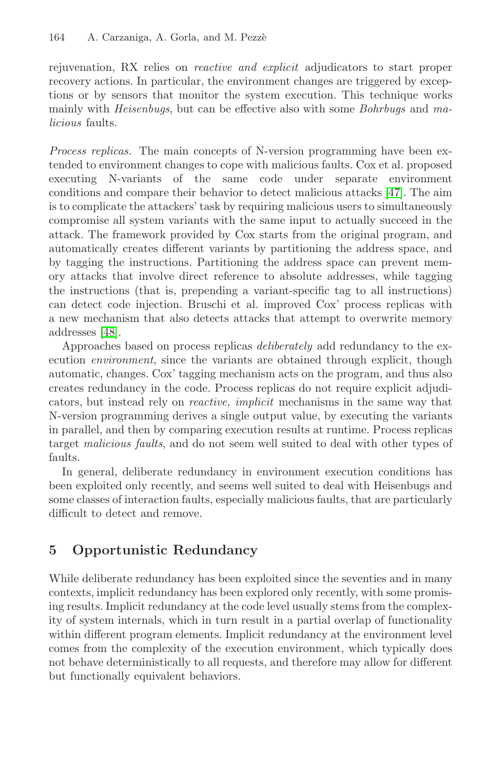rejuvenation, RX relies on *reactive and explicit* adjudicators to start proper recovery actions. In particular, the environment [ch](#page-22-7)anges are triggered by exceptions or by sensors that monitor the system execution. This technique works mainly with *Heisenbugs*, but can be effective also with some *Bohrbugs* and *malicious* faults.

*Process replicas.* The main concepts of N-version programming have been extended to environment changes to cope with malicious faults. Cox et al. proposed executing N-variants of the same code under separate environment conditions and compare their behavior to detect malicious attacks [47]. The aim is to complicate the attackers' task by requiring malicious users to simultaneously compromise all system variants with the same input to actually succeed in the attack. The framework provided by Cox starts from the original program, and automatically creates different variants by partitioning the address space, and by tagging the instructions. Partitioning the address space can prevent memory attacks that involve direct reference to absolute addresses, while tagging the instructions (that is, prepending a variant-specific tag to all instructions) can detect code injection. Bruschi et al. improved Cox' process replicas with a new mechanism that also detects attacks that attempt to overwrite memory addresses [48].

Approaches based on process replicas *deliberately* add redundancy to the execution *environment*, since the variants are obtained through explicit, though automatic, changes. Cox' tagging mechanism acts on the program, and thus also creates redundancy in the code. Process replicas do not require explicit adjudicators, but instead rely on *reactive, implicit* mechanisms in the same way that N-version programming derives a single output value, by executing the variants in parallel, and then by comparing execution results at runtime. Process replicas target *malicious faults*, and do not seem well suited to deal with other types of faults.

<span id="page-16-0"></span>In general, deliberate redundancy in environment execution conditions has been exploited only recently, and seems well suited to deal with Heisenbugs and some classes of interaction faults, especially malicious faults, that are particularly difficult to detect and remove.

# **5 Opportunistic Redundancy**

While deliberate redundancy has been exploited since the seventies and in many contexts, implicit redundancy has been explored only recently, with some promising results. Implicit redundancy at the code level usually stems from the complexity of system internals, which in turn result in a partial overlap of functionality within different program elements. Implicit redundancy at the environment level comes from the complexity of the execution environment, which typically does not behave deterministically to all requests, and therefore may allow for different but functionally equivalent behaviors.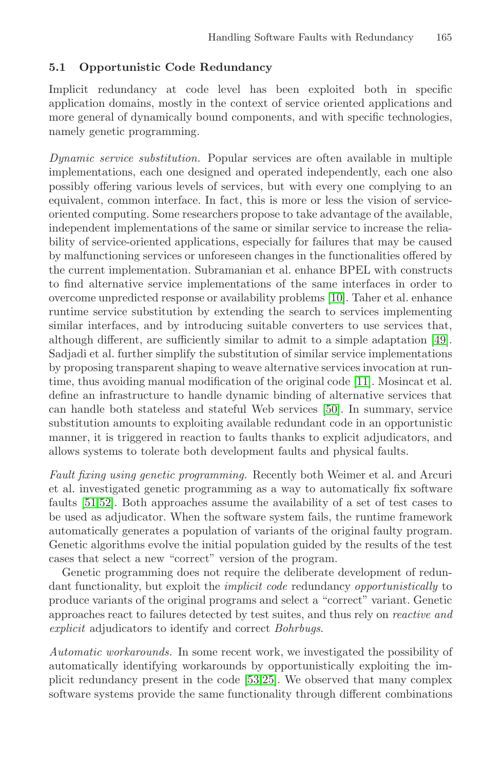#### **5.1 Opportunistic Code Redundancy**

Implicit redundancy at code level has been exploited both in specific application domains, mostly in the context of service oriented applications and more general of dynamically bound components, and with specific technologies, namely genetic programming.

*Dynamic service substitution.* Popular services are often available in multiple implementations, each one designed and operated independently, each one also possibly offering various levels of se[rvic](#page-20-7)es, but with every one complying to an equivalent, common interface. In fact, this is more or less the vision of serviceoriented computing. Some researchers propose to take advantage of the available, independent implementations of the same or similar servi[ce t](#page-22-8)o increase the reliability of service-oriented applications, especially for failures that may be caused by malfunctioning services or unforeseen changes in the functionalities offered by the current implementation. Subramania[n et](#page-20-8) al. enhance BPEL with constructs to find alternative service implementations of the same interfaces in order to overcome unpredicted response or a[vail](#page-22-9)ability problems [10]. Taher et al. enhance runtime service substitution by extending the search to services implementing similar interfaces, and by introducing suitable converters to use services that, although different, are sufficiently similar to admit to a simple adaptation [49]. Sadjadi et al. further simplify the substitution of similar service implementations by proposing transparent shaping to weave alternative services invocation at runtime, thus avoiding manual modification of the original code [11]. Mosincat et al. define an infrastructure to handle dynamic binding of alternative services that can handle both stateless and stateful Web services [50]. In summary, service substitution amounts to exploiting available redundant code in an opportunistic manner, it is triggered in reaction to faults thanks to explicit adjudicators, and allows systems to tolerate both development faults and physical faults.

*Fault fixing using genetic programming.* Recently both Weimer et al. and Arcuri et al. investigated genetic programming as a way to automatically fix software faults [51,52]. Both approaches assume the availability of a set of test cases to be used as adjudicator. When the software system fails, the runtime framework automatically generates a population of variants of the original faulty program. Genetic algorithms evolve the initial population guided by the results of the test cases that select a new "correct" version of the program.

Genetic program[min](#page-23-3)[g d](#page-21-13)oes not require the deliberate development of redundant functionality, but exploit the *implicit code* redundancy *opportunistically* to produce variants of the original programs and select a "correct" variant. Genetic approaches react to failures detected by test suites, and thus rely on *reactive and explicit* adjudicators to identify and correct *Bohrbugs*.

*Automatic workarounds.* In some recent work, we investigated the possibility of automatically identifying workarounds by opportunistically exploiting the implicit redundancy present in the code [53,25]. We observed that many complex software systems provide the same functionality through different combinations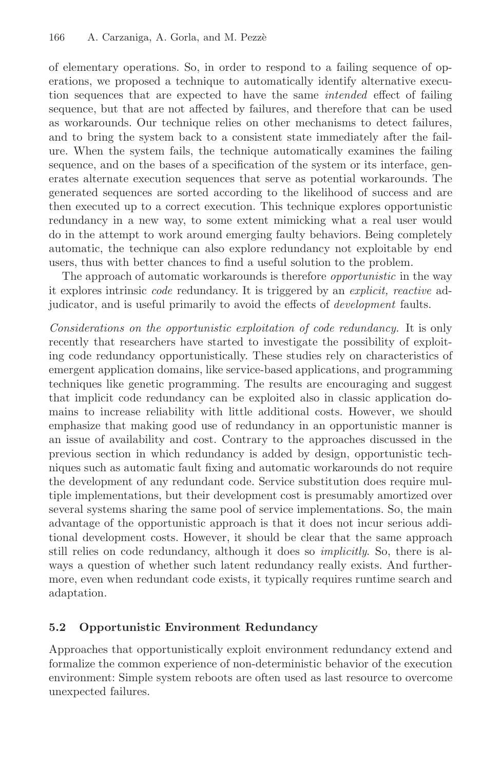of elementary operations. So, in order to respond to a failing sequence of operations, we proposed a technique to automatically identify alternative execution sequences that are expected to have the same *intended* effect of failing sequence, but that are not affected by failures, and therefore that can be used as workarounds. Our technique relies on other mechanisms to detect failures, and to bring the system back to a consistent state immediately after the failure. When the system fails, the technique automatically examines the failing sequence, and on the bases of a specification of the system or its interface, generates alternate execution sequences that serve as potential workarounds. The generated sequences are sorted according to the likelihood of success and are then executed up to a correct execution. This technique explores opportunistic redundancy in a new way, to some extent mimicking what a real user would do in the attempt to work around emerging faulty behaviors. Being completely automatic, the technique can also explore redundancy not exploitable by end users, thus with better chances to find a useful solution to the problem.

The approach of automatic workarounds is therefore *opportunistic* in the way it explores intrinsic *code* redundancy. It is triggered by an *explicit, reactive* adjudicator, and is useful primarily to avoid the effects of *development* faults.

*Considerations on the opportunistic exploitation of code redundancy.* It is only recently that researchers have started to investigate the possibility of exploiting code redundancy opportunistically. These studies rely on characteristics of emergent application domains, like service-based applications, and programming techniques like genetic programming. The results are encouraging and suggest that implicit code redundancy can be exploited also in classic application domains to increase reliability with little additional costs. However, we should emphasize that making good use of redundancy in an opportunistic manner is an issue of availability and cost. Contrary to the approaches discussed in the previous section in which redundancy is added by design, opportunistic techniques such as automatic fault fixing and automatic workarounds do not require the development of any redundant code. Service substitution does require multiple implementations, but their development cost is presumably amortized over several systems sharing the same pool of service implementations. So, the main advantage of the opportunistic approach is that it does not incur serious additional development costs. However, it should be clear that the same approach still relies on code redundancy, although it does so *implicitly*. So, there is always a question of whether such latent redundancy really exists. And furthermore, even when redundant code exists, it typically requires runtime search and adaptation.

### **5.2 Opportunistic Environment Redundancy**

Approaches that opportunistically exploit environment redundancy extend and formalize the common experience of non-deterministic behavior of the execution environment: Simple system reboots are often used as last resource to overcome unexpected failures.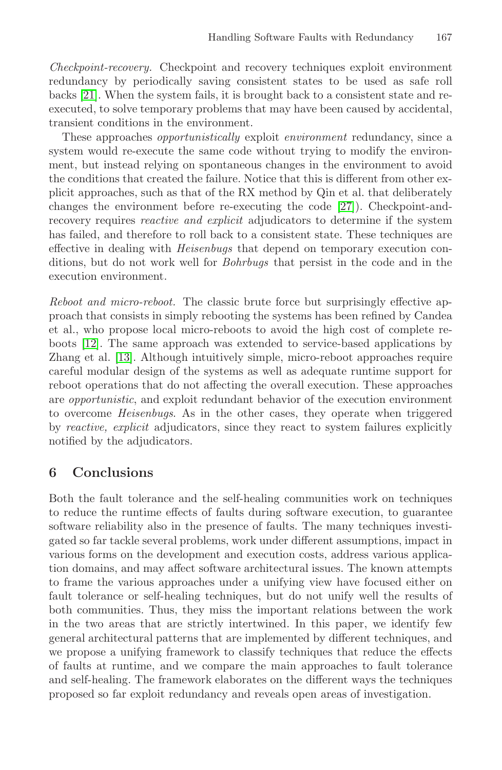*Checkpoint-recovery.* Checkpoint and recovery techniques exploit environment redundancy by periodically saving consistent states to be used as safe roll backs [21]. When the system fails, it is [bro](#page-21-5)ught back to a consistent state and reexecuted, to solve temporary problems that may have been caused by accidental, transient conditions in the environment.

These approaches *opportunistically* exploit *environment* redundancy, since a system would re-execute the same code without trying to modify the environment, but instead relying on spontaneous changes in the environment to avoid the conditions that created the failure. Notice that this is different from other explicit approaches, such as that of the RX method by Qin et al. that deliberately changes the environment before re-executing the code [27]). Checkpoint-andrecovery requires *reactive and explicit* adjudicators to determine if the system has failed, and therefore to roll back to a consistent state. These techniques are effective in dealing with *Heisenbugs* that depend on temporary execution conditions, but do not work well for *Bohrbugs* that persist in the code and in the execution environment.

*Reboot and micro-reboot.* The classic brute force but surprisingly effective approach that consists in simply rebooting the systems has been refined by Candea et al., who propose local micro-reboots to avoid the high cost of complete reboots [12]. The same approach was extended to service-based applications by Zhang et al. [13]. Although intuitively simple, micro-reboot approaches require careful modular design of the systems as well as adequate runtime support for reboot operations that do not affecting the overall execution. These approaches are *opportunistic*, and exploit redundant behavior of the execution environment to overcome *Heisenbugs*. As in the other cases, they operate when triggered by *reactive, explicit* adjudicators, since they react to system failures explicitly notified by the adjudicators.

## **6 Conclusions**

Both the fault tolerance and the self-healing communities work on techniques to reduce the runtime effects of faults during software execution, to guarantee software reliability also in the presence of faults. The many techniques investigated so far tackle several problems, work under different assumptions, impact in various forms on the development and execution costs, address various application domains, and may affect software architectural issues. The known attempts to frame the various approaches under a unifying view have focused either on fault tolerance or self-healing techniques, but do not unify well the results of both communities. Thus, they miss the important relations between the work in the two areas that are strictly intertwined. In this paper, we identify few general architectural patterns that are implemented by different techniques, and we propose a unifying framework to classify techniques that reduce the effects of faults at runtime, and we compare the main approaches to fault tolerance and self-healing. The framework elaborates on the different ways the techniques proposed so far exploit redundancy and reveals open areas of investigation.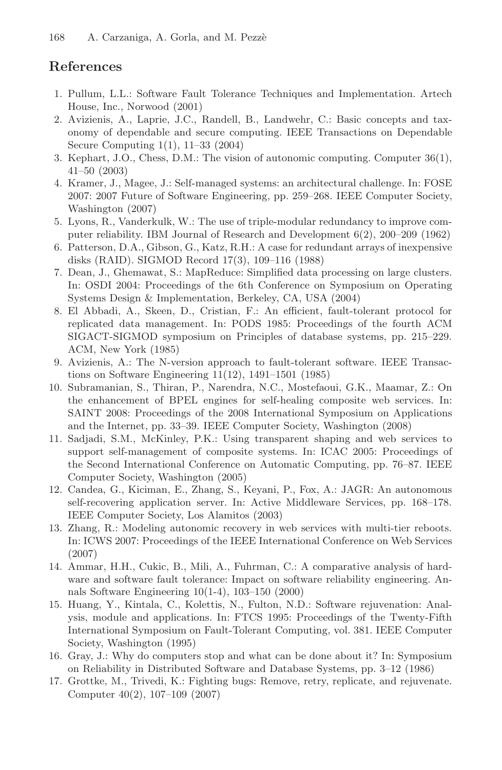# <span id="page-20-0"></span>**References**

- 1. Pullum, L.L.: Software Fault Tolerance Techniques and Implementation. Artech House, Inc., Norwood (2001)
- <span id="page-20-1"></span>2. Avizienis, A., Laprie, J.C., Randell, B., Landwehr, C.: Basic concepts and taxonomy of dependable and secure computing. IEEE Transactions on Dependable Secure Computing 1(1), 11–33 (2004)
- 3. Kephart, J.O., Chess, D.M.: The vision of autonomic computing. Computer 36(1), 41–50 (2003)
- 4. Kramer, J., Magee, J.: Self-managed systems: an architectural challenge. In: FOSE 2007: 2007 Future of Software Engineering, pp. 259–268. IEEE Computer Society, Washington (2007)
- <span id="page-20-2"></span>5. Lyons, R., Vanderkulk, W.: The use of triple-modular redundancy to improve computer reliability. IBM Journal of Research and Development 6(2), 200–209 (1962)
- <span id="page-20-3"></span>6. Patterson, D.A., Gibson, G., Katz, R.H.: A case for redundant arrays of inexpensive disks (RAID). SIGMOD Record 17(3), 109–116 (1988)
- <span id="page-20-4"></span>7. Dean, J., Ghemawat, S.: MapReduce: Simplified data processing on large clusters. In: OSDI 2004: Proceedings of the 6th Conference on Symposium on Operating Systems Design & Implementation, Berkeley, CA, USA (2004)
- <span id="page-20-5"></span>8. El Abbadi, A., Skeen, D., Cristian, F.: An efficient, fault-tolerant protocol for replicated data management. In: PODS 1985: Proceedings of the fourth ACM SIGACT-SIGMOD symposium on Principles of database systems, pp. 215–229. ACM, New York (1985)
- <span id="page-20-6"></span>9. Avizienis, A.: The N-version approach to fault-tolerant software. IEEE Transactions on Software Engineering 11(12), 1491–1501 (1985)
- <span id="page-20-7"></span>10. Subramanian, S., Thiran, P., Narendra, N.C., Mostefaoui, G.K., Maamar, Z.: On the enhancement of BPEL engines for self-healing composite web services. In: SAINT 2008: Proceedings of the 2008 International Symposium on Applications and the Internet, pp. 33–39. IEEE Computer Society, Washington (2008)
- <span id="page-20-8"></span>11. Sadjadi, S.M., McKinley, P.K.: Using transparent shaping and web services to support self-management of composite systems. In: ICAC 2005: Proceedings of the Second International Conference on Automatic Computing, pp. 76–87. IEEE Computer Society, Washington (2005)
- 12. Candea, G., Kiciman, E., Zhang, S., Keyani, P., Fox, A.: JAGR: An autonomous self-recovering application server. In: Active Middleware Services, pp. 168–178. IEEE Computer Society, Los Alamitos (2003)
- 13. Zhang, R.: Modeling autonomic recovery in web services with multi-tier reboots. In: ICWS 2007: Proceedings of the IEEE International Conference on Web Services (2007)
- <span id="page-20-10"></span>14. Ammar, H.H., Cukic, B., Mili, A., Fuhrman, C.: A comparative analysis of hardware and software fault tolerance: Impact on software reliability engineering. Annals Software Engineering 10(1-4), 103–150 (2000)
- <span id="page-20-9"></span>15. Huang, Y., Kintala, C., Kolettis, N., Fulton, N.D.: Software rejuvenation: Analysis, module and applications. In: FTCS 1995: Proceedings of the Twenty-Fifth International Symposium on Fault-Tolerant Computing, vol. 381. IEEE Computer Society, Washington (1995)
- <span id="page-20-12"></span>16. Gray, J.: Why do computers stop and what can be done about it? In: Symposium on Reliability in Distributed Software and Database Systems, pp. 3–12 (1986)
- <span id="page-20-11"></span>17. Grottke, M., Trivedi, K.: Fighting bugs: Remove, retry, replicate, and rejuvenate. Computer 40(2), 107–109 (2007)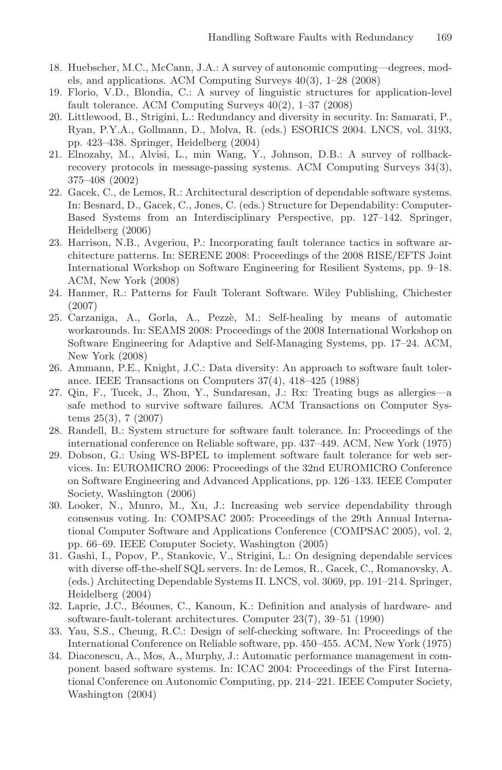- <span id="page-21-0"></span>18. Huebscher, M.C., McCann, J.A.: A survey of autonomic computing—degrees, models, and applications. ACM Computing Surveys 40(3), 1–28 (2008)
- <span id="page-21-1"></span>19. Florio, V.D., Blondia, C.: A survey of linguistic structures for application-level fault tolerance. ACM Computing Surveys 40(2), 1–37 (2008)
- <span id="page-21-2"></span>20. Littlewood, B., Strigini, L.: Redundancy and diversity in security. In: Samarati, P., Ryan, P.Y.A., Gollmann, D., Molva, R. (eds.) ESORICS 2004. LNCS, vol. 3193, pp. 423–438. Springer, Heidelberg (2004)
- 21. Elnozahy, M., Alvisi, L., min Wang, Y., Johnson, D.B.: A survey of rollbackrecovery protocols in message-passing systems. ACM Computing Surveys 34(3), 375–408 (2002)
- 22. Gacek, C., de Lemos, R.: Architectural description of dependable software systems. In: Besnard, D., Gacek, C., Jones, C. (eds.) Structure for Dependability: Computer-Based Systems from an Interdisciplinary Perspective, pp. 127–142. Springer, Heidelberg (2006)
- <span id="page-21-3"></span>23. Harrison, N.B., Avgeriou, P.: Incorporating fault tolerance tactics in software architecture patterns. In: SERENE 2008: Proceedings of the 2008 RISE/EFTS Joint International Workshop on Software Engineering for Resilient Systems, pp. 9–18. ACM, New York (2008)
- <span id="page-21-4"></span>24. Hanmer, R.: Patterns for Fault Tolerant Software. Wiley Publishing, Chichester (2007)
- <span id="page-21-13"></span>25. Carzaniga, A., Gorla, A., Pezz`e, M.: Self-healing by means of automatic workarounds. In: SEAMS 2008: Proceedings of the 2008 International Workshop on Software Engineering for Adaptive and Self-Managing Systems, pp. 17–24. ACM, New York (2008)
- <span id="page-21-12"></span>26. Ammann, P.E., Knight, J.C.: Data diversity: An approach to software fault tolerance. IEEE Transactions on Computers 37(4), 418–425 (1988)
- <span id="page-21-5"></span>27. Qin, F., Tucek, J., Zhou, Y., Sundaresan, J.: Rx: Treating bugs as allergies—a safe method to survive software failures. ACM Transactions on Computer Systems 25(3), 7 (2007)
- <span id="page-21-6"></span>28. Randell, B.: System structure for software fault tolerance. In: Proceedings of the international conference on Reliable software, pp. 437–449. ACM, New York (1975)
- <span id="page-21-7"></span>29. Dobson, G.: Using WS-BPEL to implement software fault tolerance for web services. In: EUROMICRO 2006: Proceedings of the 32nd EUROMICRO Conference on Software Engineering and Advanced Applications, pp. 126–133. IEEE Computer Society, Washington (2006)
- 30. Looker, N., Munro, M., Xu, J.: Increasing web service dependability through consensus voting. In: COMPSAC 2005: Proceedings of the 29th Annual International Computer Software and Applications Conference (COMPSAC 2005), vol. 2, pp. 66–69. IEEE Computer Society, Washington (2005)
- <span id="page-21-8"></span>31. Gashi, I., Popov, P., Stankovic, V., Strigini, L.: On designing dependable services with diverse off-the-shelf SQL servers. In: de Lemos, R., Gacek, C., Romanovsky, A. (eds.) Architecting Dependable Systems II. LNCS, vol. 3069, pp. 191–214. Springer, Heidelberg (2004)
- <span id="page-21-9"></span>32. Laprie, J.C., B´eounes, C., Kanoun, K.: Definition and analysis of hardware- and software-fault-tolerant architectures. Computer 23(7), 39–51 (1990)
- <span id="page-21-10"></span>33. Yau, S.S., Cheung, R.C.: Design of self-checking software. In: Proceedings of the International Conference on Reliable software, pp. 450–455. ACM, New York (1975)
- <span id="page-21-11"></span>34. Diaconescu, A., Mos, A., Murphy, J.: Automatic performance management in component based software systems. In: ICAC 2004: Proceedings of the First International Conference on Autonomic Computing, pp. 214–221. IEEE Computer Society, Washington (2004)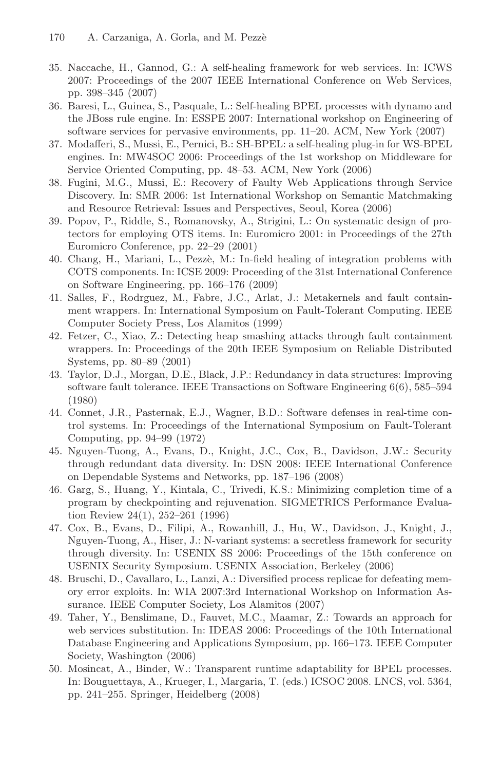- <span id="page-22-0"></span>35. Naccache, H., Gannod, G.: A self-healing framework for web services. In: ICWS 2007: Proceedings of the 2007 IEEE International Conference on Web Services, pp. 398–345 (2007)
- 36. Baresi, L., Guinea, S., Pasquale, L.: Self-healing BPEL processes with dynamo and the JBoss rule engine. In: ESSPE 2007: International workshop on Engineering of software services for pervasive environments, pp. 11–20. ACM, New York (2007)
- 37. Modafferi, S., Mussi, E., Pernici, B.: SH-BPEL: a self-healing plug-in for WS-BPEL engines. In: MW4SOC 2006: Proceedings of the 1st workshop on Middleware for Service Oriented Computing, pp. 48–53. ACM, New York (2006)
- 38. Fugini, M.G., Mussi, E.: Recovery of Faulty Web Applications through Service Discovery. In: SMR 2006: 1st International Workshop on Semantic Matchmaking and Resource Retrieval: Issues and Perspectives, Seoul, Korea (2006)
- 39. Popov, P., Riddle, S., Romanovsky, A., Strigini, L.: On systematic design of protectors for employing OTS items. In: Euromicro 2001: in Proceedings of the 27th Euromicro Conference, pp. 22–29 (2001)
- <span id="page-22-1"></span>40. Chang, H., Mariani, L., Pezz`e, M.: In-field healing of integration problems with COTS components. In: ICSE 2009: Proceeding of the 31st International Conference on Software Engineering, pp. 166–176 (2009)
- <span id="page-22-2"></span>41. Salles, F., Rodrguez, M., Fabre, J.C., Arlat, J.: Metakernels and fault containment wrappers. In: International Symposium on Fault-Tolerant Computing. IEEE Computer Society Press, Los Alamitos (1999)
- <span id="page-22-3"></span>42. Fetzer, C., Xiao, Z.: Detecting heap smashing attacks through fault containment wrappers. In: Proceedings of the 20th IEEE Symposium on Reliable Distributed Systems, pp. 80–89 (2001)
- <span id="page-22-4"></span>43. Taylor, D.J., Morgan, D.E., Black, J.P.: Redundancy in data structures: Improving software fault tolerance. IEEE Transactions on Software Engineering 6(6), 585–594 (1980)
- 44. Connet, J.R., Pasternak, E.J., Wagner, B.D.: Software defenses in real-time control systems. In: Proceedings of the International Symposium on Fault-Tolerant Computing, pp. 94–99 (1972)
- <span id="page-22-5"></span>45. Nguyen-Tuong, A., Evans, D., Knight, J.C., Cox, B., Davidson, J.W.: Security through redundant data diversity. In: DSN 2008: IEEE International Conference on Dependable Systems and Networks, pp. 187–196 (2008)
- <span id="page-22-6"></span>46. Garg, S., Huang, Y., Kintala, C., Trivedi, K.S.: Minimizing completion time of a program by checkpointing and rejuvenation. SIGMETRICS Performance Evaluation Review 24(1), 252–261 (1996)
- <span id="page-22-7"></span>47. Cox, B., Evans, D., Filipi, A., Rowanhill, J., Hu, W., Davidson, J., Knight, J., Nguyen-Tuong, A., Hiser, J.: N-variant systems: a secretless framework for security through diversity. In: USENIX SS 2006: Proceedings of the 15th conference on USENIX Security Symposium. USENIX Association, Berkeley (2006)
- 48. Bruschi, D., Cavallaro, L., Lanzi, A.: Diversified process replicae for defeating memory error exploits. In: WIA 2007:3rd International Workshop on Information Assurance. IEEE Computer Society, Los Alamitos (2007)
- <span id="page-22-8"></span>49. Taher, Y., Benslimane, D., Fauvet, M.C., Maamar, Z.: Towards an approach for web services substitution. In: IDEAS 2006: Proceedings of the 10th International Database Engineering and Applications Symposium, pp. 166–173. IEEE Computer Society, Washington (2006)
- <span id="page-22-9"></span>50. Mosincat, A., Binder, W.: Transparent runtime adaptability for BPEL processes. In: Bouguettaya, A., Krueger, I., Margaria, T. (eds.) ICSOC 2008. LNCS, vol. 5364, pp. 241–255. Springer, Heidelberg (2008)